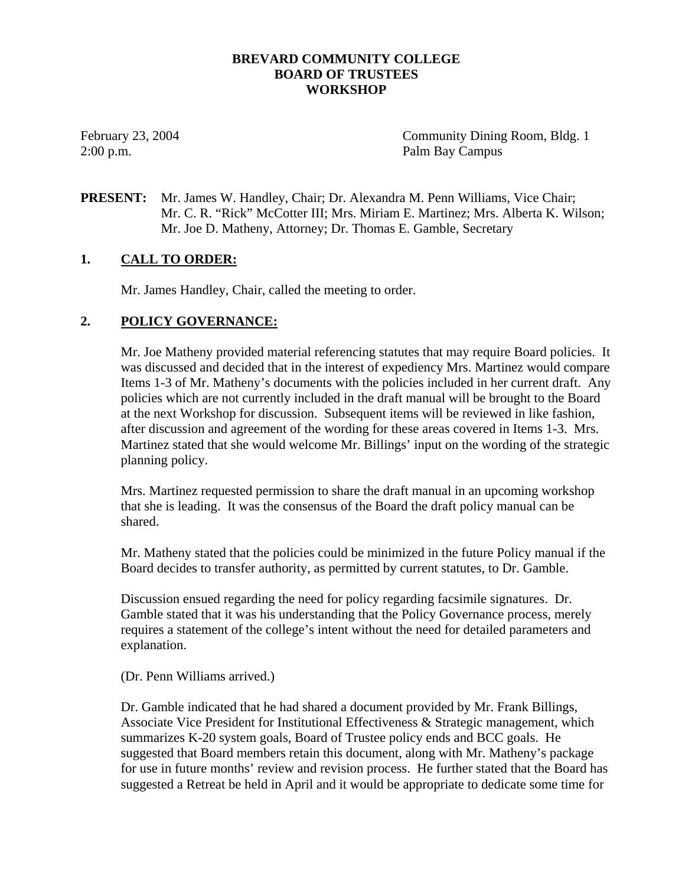### **BREVARD COMMUNITY COLLEGE BOARD OF TRUSTEES WORKSHOP**

February 23, 2004 **Community Dining Room, Bldg. 1** 2:00 p.m. Palm Bay Campus

**PRESENT:** Mr. James W. Handley, Chair; Dr. Alexandra M. Penn Williams, Vice Chair; Mr. C. R. "Rick" McCotter III; Mrs. Miriam E. Martinez; Mrs. Alberta K. Wilson; Mr. Joe D. Matheny, Attorney; Dr. Thomas E. Gamble, Secretary

## **1. CALL TO ORDER:**

Mr. James Handley, Chair, called the meeting to order.

### **2. POLICY GOVERNANCE:**

Mr. Joe Matheny provided material referencing statutes that may require Board policies. It was discussed and decided that in the interest of expediency Mrs. Martinez would compare Items 1-3 of Mr. Matheny's documents with the policies included in her current draft. Any policies which are not currently included in the draft manual will be brought to the Board at the next Workshop for discussion. Subsequent items will be reviewed in like fashion, after discussion and agreement of the wording for these areas covered in Items 1-3. Mrs. Martinez stated that she would welcome Mr. Billings' input on the wording of the strategic planning policy.

Mrs. Martinez requested permission to share the draft manual in an upcoming workshop that she is leading. It was the consensus of the Board the draft policy manual can be shared.

Mr. Matheny stated that the policies could be minimized in the future Policy manual if the Board decides to transfer authority, as permitted by current statutes, to Dr. Gamble.

Discussion ensued regarding the need for policy regarding facsimile signatures. Dr. Gamble stated that it was his understanding that the Policy Governance process, merely requires a statement of the college's intent without the need for detailed parameters and explanation.

#### (Dr. Penn Williams arrived.)

Dr. Gamble indicated that he had shared a document provided by Mr. Frank Billings, Associate Vice President for Institutional Effectiveness & Strategic management, which summarizes K-20 system goals, Board of Trustee policy ends and BCC goals. He suggested that Board members retain this document, along with Mr. Matheny's package for use in future months' review and revision process. He further stated that the Board has suggested a Retreat be held in April and it would be appropriate to dedicate some time for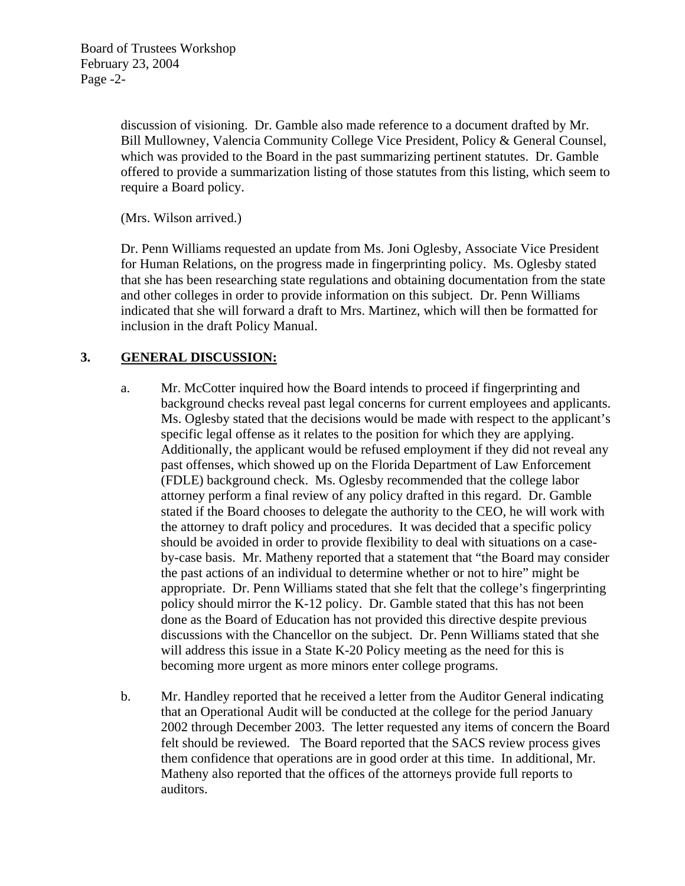discussion of visioning. Dr. Gamble also made reference to a document drafted by Mr. Bill Mullowney, Valencia Community College Vice President, Policy & General Counsel, which was provided to the Board in the past summarizing pertinent statutes. Dr. Gamble offered to provide a summarization listing of those statutes from this listing, which seem to require a Board policy.

(Mrs. Wilson arrived.)

Dr. Penn Williams requested an update from Ms. Joni Oglesby, Associate Vice President for Human Relations, on the progress made in fingerprinting policy. Ms. Oglesby stated that she has been researching state regulations and obtaining documentation from the state and other colleges in order to provide information on this subject. Dr. Penn Williams indicated that she will forward a draft to Mrs. Martinez, which will then be formatted for inclusion in the draft Policy Manual.

# **3. GENERAL DISCUSSION:**

- a. Mr. McCotter inquired how the Board intends to proceed if fingerprinting and background checks reveal past legal concerns for current employees and applicants. Ms. Oglesby stated that the decisions would be made with respect to the applicant's specific legal offense as it relates to the position for which they are applying. Additionally, the applicant would be refused employment if they did not reveal any past offenses, which showed up on the Florida Department of Law Enforcement (FDLE) background check. Ms. Oglesby recommended that the college labor attorney perform a final review of any policy drafted in this regard. Dr. Gamble stated if the Board chooses to delegate the authority to the CEO, he will work with the attorney to draft policy and procedures. It was decided that a specific policy should be avoided in order to provide flexibility to deal with situations on a caseby-case basis. Mr. Matheny reported that a statement that "the Board may consider the past actions of an individual to determine whether or not to hire" might be appropriate. Dr. Penn Williams stated that she felt that the college's fingerprinting policy should mirror the K-12 policy. Dr. Gamble stated that this has not been done as the Board of Education has not provided this directive despite previous discussions with the Chancellor on the subject. Dr. Penn Williams stated that she will address this issue in a State K-20 Policy meeting as the need for this is becoming more urgent as more minors enter college programs.
- b. Mr. Handley reported that he received a letter from the Auditor General indicating that an Operational Audit will be conducted at the college for the period January 2002 through December 2003. The letter requested any items of concern the Board felt should be reviewed. The Board reported that the SACS review process gives them confidence that operations are in good order at this time. In additional, Mr. Matheny also reported that the offices of the attorneys provide full reports to auditors.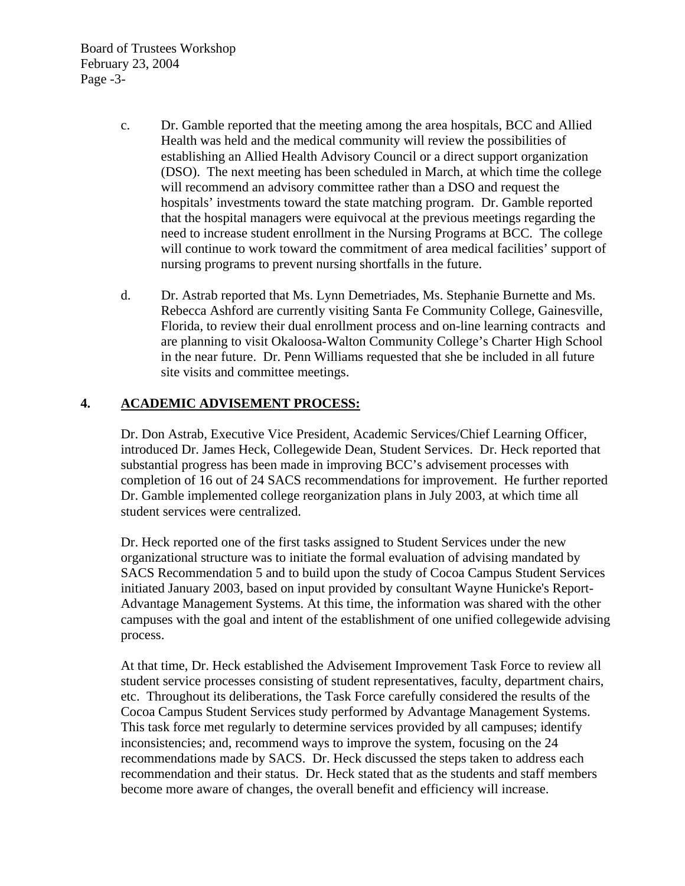Board of Trustees Workshop February 23, 2004 Page -3-

- c. Dr. Gamble reported that the meeting among the area hospitals, BCC and Allied Health was held and the medical community will review the possibilities of establishing an Allied Health Advisory Council or a direct support organization (DSO). The next meeting has been scheduled in March, at which time the college will recommend an advisory committee rather than a DSO and request the hospitals' investments toward the state matching program. Dr. Gamble reported that the hospital managers were equivocal at the previous meetings regarding the need to increase student enrollment in the Nursing Programs at BCC. The college will continue to work toward the commitment of area medical facilities' support of nursing programs to prevent nursing shortfalls in the future.
- d. Dr. Astrab reported that Ms. Lynn Demetriades, Ms. Stephanie Burnette and Ms. Rebecca Ashford are currently visiting Santa Fe Community College, Gainesville, Florida, to review their dual enrollment process and on-line learning contracts and are planning to visit Okaloosa-Walton Community College's Charter High School in the near future. Dr. Penn Williams requested that she be included in all future site visits and committee meetings.

## **4. ACADEMIC ADVISEMENT PROCESS:**

Dr. Don Astrab, Executive Vice President, Academic Services/Chief Learning Officer, introduced Dr. James Heck, Collegewide Dean, Student Services. Dr. Heck reported that substantial progress has been made in improving BCC's advisement processes with completion of 16 out of 24 SACS recommendations for improvement. He further reported Dr. Gamble implemented college reorganization plans in July 2003, at which time all student services were centralized.

Dr. Heck reported one of the first tasks assigned to Student Services under the new organizational structure was to initiate the formal evaluation of advising mandated by SACS Recommendation 5 and to build upon the study of Cocoa Campus Student Services initiated January 2003, based on input provided by consultant Wayne Hunicke's Report-Advantage Management Systems. At this time, the information was shared with the other campuses with the goal and intent of the establishment of one unified collegewide advising process.

At that time, Dr. Heck established the Advisement Improvement Task Force to review all student service processes consisting of student representatives, faculty, department chairs, etc. Throughout its deliberations, the Task Force carefully considered the results of the Cocoa Campus Student Services study performed by Advantage Management Systems. This task force met regularly to determine services provided by all campuses; identify inconsistencies; and, recommend ways to improve the system, focusing on the 24 recommendations made by SACS. Dr. Heck discussed the steps taken to address each recommendation and their status. Dr. Heck stated that as the students and staff members become more aware of changes, the overall benefit and efficiency will increase.